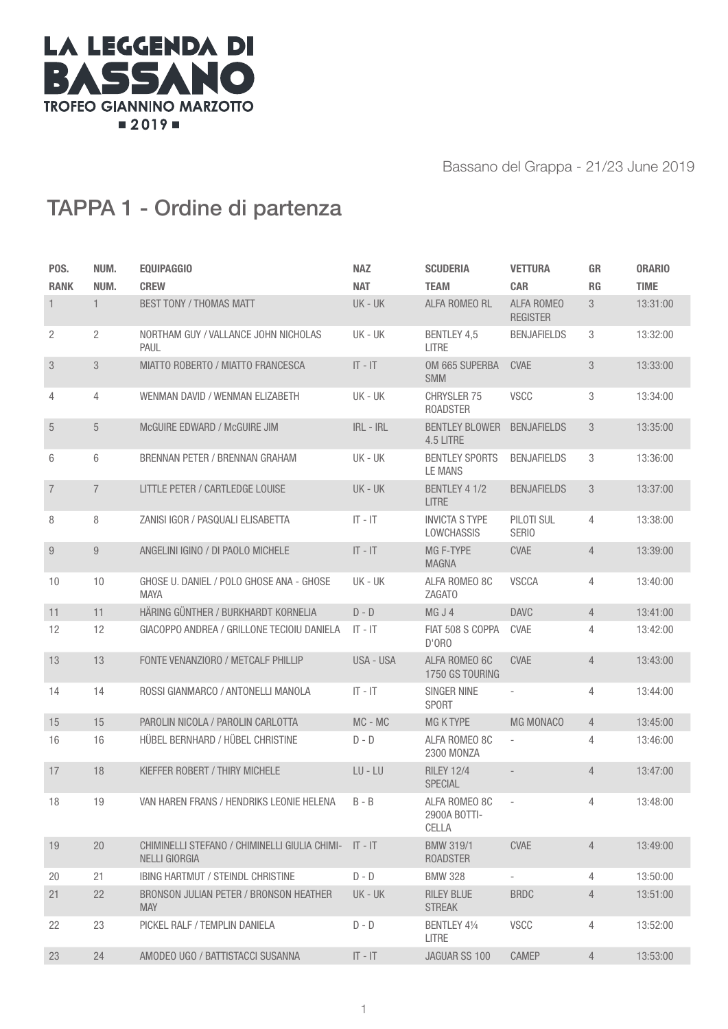

## TAPPA 1 - Ordine di partenza

| POS.<br><b>RANK</b>       | NUM.<br>NUM.   | <b>EOUIPAGGIO</b><br><b>CREW</b>                                              | <b>NAZ</b><br><b>NAT</b> | <b>SCUDERIA</b><br><b>TEAM</b>          | <b>VETTURA</b><br><b>CAR</b>  | <b>GR</b><br><b>RG</b> | <b>ORARIO</b><br><b>TIME</b> |
|---------------------------|----------------|-------------------------------------------------------------------------------|--------------------------|-----------------------------------------|-------------------------------|------------------------|------------------------------|
| $\mathbf{1}$              | $\mathbf{1}$   | <b>BEST TONY / THOMAS MATT</b>                                                | UK - UK                  | ALFA ROMEO RL                           | ALFA ROMEO<br><b>REGISTER</b> | 3                      | 13:31:00                     |
| 2                         | 2              | NORTHAM GUY / VALLANCE JOHN NICHOLAS<br>PAUL                                  | UK - UK                  | <b>BENTLEY 4,5</b><br>LITRE             | <b>BENJAFIELDS</b>            | 3                      | 13:32:00                     |
| $\ensuremath{\mathbf{3}}$ | 3              | MIATTO ROBERTO / MIATTO FRANCESCA                                             | $IT - IT$                | OM 665 SUPERBA<br><b>SMM</b>            | <b>CVAE</b>                   | 3                      | 13:33:00                     |
| 4                         | 4              | WENMAN DAVID / WENMAN ELIZABETH                                               | UK - UK                  | CHRYSLER 75<br><b>ROADSTER</b>          | <b>VSCC</b>                   | 3                      | 13:34:00                     |
| $\sqrt{5}$                | 5              | McGUIRE EDWARD / McGUIRE JIM                                                  | $IRL - IRL$              | <b>BENTLEY BLOWER</b><br>4.5 LITRE      | <b>BENJAFIELDS</b>            | 3                      | 13:35:00                     |
| 6                         | 6              | BRENNAN PETER / BRENNAN GRAHAM                                                | UK - UK                  | <b>BENTLEY SPORTS</b><br><b>LE MANS</b> | <b>BENJAFIELDS</b>            | 3                      | 13:36:00                     |
| $\overline{7}$            | $\overline{7}$ | LITTLE PETER / CARTLEDGE LOUISE                                               | UK - UK                  | BENTLEY 4 1/2<br><b>LITRE</b>           | <b>BENJAFIELDS</b>            | 3                      | 13:37:00                     |
| 8                         | 8              | ZANISI IGOR / PASQUALI ELISABETTA                                             | $IT - IT$                | <b>INVICTA S TYPE</b><br>LOWCHASSIS     | PILOTI SUL<br>SERIO           | 4                      | 13:38:00                     |
| 9                         | 9              | ANGELINI IGINO / DI PAOLO MICHELE                                             | $IT - IT$                | MG F-TYPF<br><b>MAGNA</b>               | <b>CVAE</b>                   | $\overline{4}$         | 13:39:00                     |
| 10                        | 10             | GHOSE U. DANIEL / POLO GHOSE ANA - GHOSE<br><b>MAYA</b>                       | UK - UK                  | ALFA ROMEO 8C<br>ZAGATO                 | <b>VSCCA</b>                  | 4                      | 13:40:00                     |
| 11                        | 11             | HÄRING GÜNTHER / BURKHARDT KORNELIA                                           | $D - D$                  | MGJ4                                    | <b>DAVC</b>                   | $\overline{4}$         | 13:41:00                     |
| 12                        | 12             | GIACOPPO ANDREA / GRILLONE TECIOIU DANIELA                                    | $IT - IT$                | FIAT 508 S COPPA<br>D'ORO               | <b>CVAE</b>                   | 4                      | 13:42:00                     |
| 13                        | 13             | FONTE VENANZIORO / METCALF PHILLIP                                            | USA - USA                | ALFA ROMEO 6C<br>1750 GS TOURING        | <b>CVAE</b>                   | $\overline{4}$         | 13:43:00                     |
| 14                        | 14             | ROSSI GIANMARCO / ANTONELLI MANOLA                                            | $IT - IT$                | SINGER NINE<br><b>SPORT</b>             |                               | 4                      | 13:44:00                     |
| 15                        | 15             | PAROLIN NICOLA / PAROLIN CARLOTTA                                             | MC - MC                  | <b>MG K TYPE</b>                        | MG MONACO                     | $\overline{4}$         | 13:45:00                     |
| 16                        | 16             | HÜBEL BERNHARD / HÜBEL CHRISTINE                                              | $D - D$                  | ALFA ROMEO 8C<br><b>2300 MONZA</b>      | $\overline{\phantom{a}}$      | 4                      | 13:46:00                     |
| 17                        | 18             | KIEFFER ROBERT / THIRY MICHELE                                                | $LU$ - $LU$              | <b>RILEY 12/4</b><br>SPECIAL            |                               | $\overline{4}$         | 13:47:00                     |
| 18                        | 19             | VAN HAREN FRANS / HENDRIKS LEONIE HELENA                                      | $B - B$                  | ALFA ROMEO 8C<br>2900A BOTTI-<br>CELLA  |                               | 4                      | 13:48:00                     |
| 19                        | 20             | CHIMINELLI STEFANO / CHIMINELLI GIULIA CHIMI- IT - IT<br><b>NELLI GIORGIA</b> |                          | <b>BMW 319/1</b><br><b>ROADSTER</b>     | <b>CVAE</b>                   | $\overline{4}$         | 13:49:00                     |
| 20                        | 21             | <b>IBING HARTMUT / STEINDL CHRISTINE</b>                                      | $D - D$                  | <b>BMW 328</b>                          | $\overline{\phantom{a}}$      | 4                      | 13:50:00                     |
| 21                        | 22             | BRONSON JULIAN PETER / BRONSON HEATHER<br><b>MAY</b>                          | UK - UK                  | <b>RILEY BLUE</b><br><b>STREAK</b>      | <b>BRDC</b>                   | $\overline{4}$         | 13:51:00                     |
| 22                        | 23             | PICKEL RALF / TEMPLIN DANIELA                                                 | $D - D$                  | BENTLEY 41/4<br>LITRE                   | <b>VSCC</b>                   | 4                      | 13:52:00                     |
| 23                        | 24             | AMODEO UGO / BATTISTACCI SUSANNA                                              | $IT - IT$                | JAGUAR SS 100                           | CAMEP                         | $\overline{4}$         | 13:53:00                     |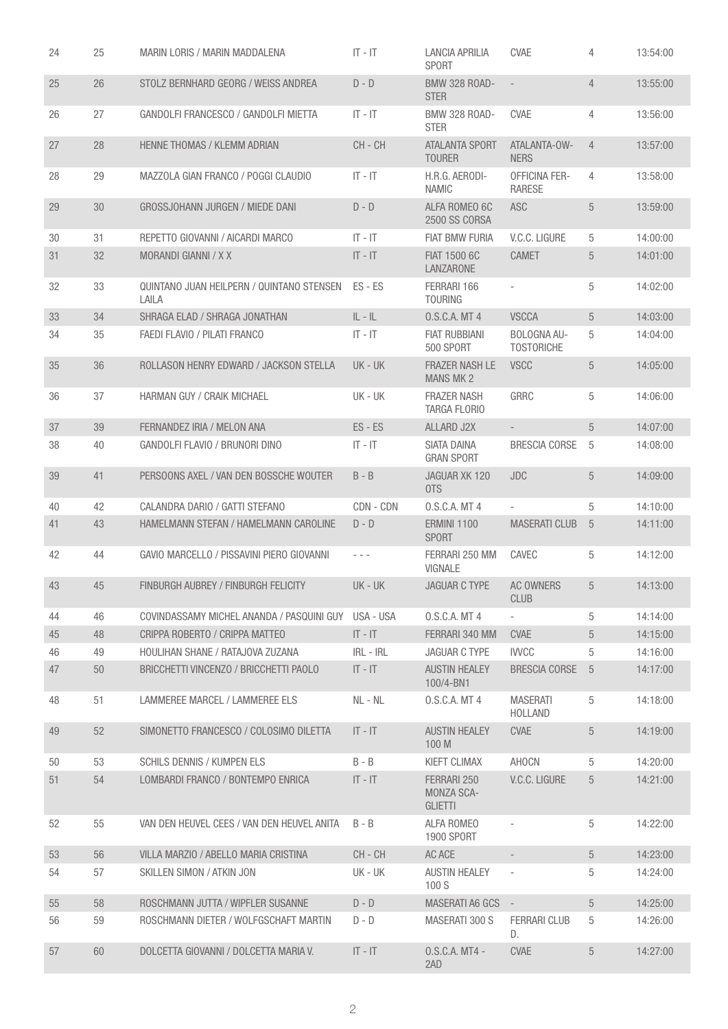| 24 | 25 | MARIN LORIS / MARIN MADDALENA                      | $IT - IT$   | LANCIA APRILIA<br><b>SPORT</b>              | <b>CVAE</b>                       | 4              | 13:54:00 |
|----|----|----------------------------------------------------|-------------|---------------------------------------------|-----------------------------------|----------------|----------|
| 25 | 26 | STOLZ BERNHARD GEORG / WEISS ANDREA                | $D - D$     | <b>BMW 328 ROAD-</b><br><b>STER</b>         | $\overline{\phantom{a}}$          | $\overline{4}$ | 13:55:00 |
| 26 | 27 | GANDOLFI FRANCESCO / GANDOLFI MIETTA               | $ T - T $   | <b>BMW 328 ROAD-</b><br><b>STER</b>         | <b>CVAE</b>                       | 4              | 13:56:00 |
| 27 | 28 | <b>HENNE THOMAS / KLEMM ADRIAN</b>                 | CH-CH       | ATALANTA SPORT<br><b>TOURER</b>             | ATALANTA-OW-<br><b>NERS</b>       | $\overline{4}$ | 13:57:00 |
| 28 | 29 | MAZZOLA GIAN FRANCO / POGGI CLAUDIO                | $ T - T $   | H.R.G. AERODI-<br><b>NAMIC</b>              | OFFICINA FER-<br><b>RARESE</b>    | 4              | 13:58:00 |
| 29 | 30 | GROSSJOHANN JURGEN / MIEDE DANI                    | $D - D$     | ALFA ROMEO 6C<br>2500 SS CORSA              | <b>ASC</b>                        | 5              | 13:59:00 |
| 30 | 31 | REPETTO GIOVANNI / AICARDI MARCO                   | $IT - IT$   | <b>FIAT BMW FURIA</b>                       | V.C.C. LIGURE                     | 5              | 14:00:00 |
| 31 | 32 | MORANDI GIANNI / X X                               | $ T - T $   | <b>FIAT 1500 6C</b><br>LANZARONE            | <b>CAMET</b>                      | 5              | 14:01:00 |
| 32 | 33 | QUINTANO JUAN HEILPERN / QUINTANO STENSEN<br>LAILA | $ES - ES$   | FERRARI 166<br><b>TOURING</b>               | L,                                | 5              | 14:02:00 |
| 33 | 34 | SHRAGA ELAD / SHRAGA JONATHAN                      | $ L - L $   | 0.S.C.A. MT 4                               | <b>VSCCA</b>                      | 5              | 14:03:00 |
| 34 | 35 | FAEDI FLAVIO / PILATI FRANCO                       | $IT - IT$   | <b>FIAT RUBBIANI</b><br><b>500 SPORT</b>    | BOLOGNA AU-<br><b>TOSTORICHE</b>  | 5              | 14:04:00 |
| 35 | 36 | ROLLASON HENRY EDWARD / JACKSON STELLA             | UK - UK     | <b>FRAZER NASH LE</b><br><b>MANS MK 2</b>   | <b>VSCC</b>                       | 5              | 14:05:00 |
| 36 | 37 | <b>HARMAN GUY / CRAIK MICHAEL</b>                  | UK - UK     | <b>FRAZER NASH</b><br>TARGA FLORIO          | GRRC                              | 5              | 14:06:00 |
| 37 | 39 | FERNANDEZ IRIA / MELON ANA                         | $ES - ES$   | <b>ALLARD J2X</b>                           | $\overline{\phantom{a}}$          | 5              | 14:07:00 |
| 38 | 40 | GANDOLFI FLAVIO / BRUNORI DINO                     | $IT - IT$   | SIATA DAINA<br><b>GRAN SPORT</b>            | <b>BRESCIA CORSE</b>              | 5              | 14:08:00 |
| 39 | 41 | PERSOONS AXEL / VAN DEN BOSSCHE WOUTER             | $B - B$     | JAGUAR XK 120<br>OTS                        | <b>JDC</b>                        | 5              | 14:09:00 |
| 40 | 42 | CALANDRA DARIO / GATTI STEFANO                     | CDN - CDN   | 0.S.C.A. MT 4                               | $\overline{\phantom{a}}$          | 5              | 14:10:00 |
| 41 | 43 | HAMELMANN STEFAN / HAMELMANN CAROLINE              | $D - D$     | <b>ERMINI 1100</b><br><b>SPORT</b>          | <b>MASERATI CLUB</b>              | 5              | 14:11:00 |
| 42 | 44 | GAVIO MARCELLO / PISSAVINI PIERO GIOVANNI          | $- - -$     | FERRARI 250 MM<br>VIGNALE                   | CAVEC                             | 5              | 14:12:00 |
| 43 | 45 | FINBURGH AUBREY / FINBURGH FELICITY                | UK - UK     | <b>JAGUAR C TYPE</b>                        | <b>AC OWNERS</b><br><b>CLUB</b>   | 5              | 14:13:00 |
| 44 | 46 | COVINDASSAMY MICHEL ANANDA / PASQUINI GUY          | USA - USA   | 0.S.C.A. MT 4                               | ÷,                                | 5              | 14:14:00 |
| 45 | 48 | CRIPPA ROBERTO / CRIPPA MATTEO                     | $IT - IT$   | FERRARI 340 MM                              | <b>CVAE</b>                       | 5              | 14:15:00 |
| 46 | 49 | HOULIHAN SHANE / RATAJOVA ZUZANA                   | $IRL - IRL$ | <b>JAGUAR C TYPE</b>                        | <b>IVVCC</b>                      | 5              | 14:16:00 |
| 47 | 50 | BRICCHETTI VINCENZO / BRICCHETTI PAOLO             | $ T - T $   | <b>AUSTIN HEALEY</b><br>100/4-BN1           | <b>BRESCIA CORSE</b>              | 5              | 14:17:00 |
| 48 | 51 | LAMMEREE MARCEL / LAMMEREE ELS                     | $NL - NL$   | 0.S.C.A. MT 4                               | <b>MASERATI</b><br><b>HOLLAND</b> | 5              | 14:18:00 |
| 49 | 52 | SIMONETTO FRANCESCO / COLOSIMO DILETTA             | $ T - T $   | <b>AUSTIN HEALEY</b><br>100 M               | <b>CVAE</b>                       | 5              | 14:19:00 |
| 50 | 53 | <b>SCHILS DENNIS / KUMPEN ELS</b>                  | $B - B$     | KIEFT CLIMAX                                | <b>AHOCN</b>                      | 5              | 14:20:00 |
| 51 | 54 | LOMBARDI FRANCO / BONTEMPO ENRICA                  | $ T - T $   | FERRARI 250<br>MONZA SCA-<br><b>GLIETTI</b> | V.C.C. LIGURE                     | 5              | 14:21:00 |
| 52 | 55 | VAN DEN HEUVEL CEES / VAN DEN HEUVEL ANITA         | $B - B$     | ALFA ROMEO<br>1900 SPORT                    | $\overline{\phantom{a}}$          | 5              | 14:22:00 |
| 53 | 56 | VILLA MARZIO / ABELLO MARIA CRISTINA               | CH-CH       | AC ACE                                      | $\overline{\phantom{a}}$          | 5              | 14:23:00 |
| 54 | 57 | SKILLEN SIMON / ATKIN JON                          | UK - UK     | <b>AUSTIN HEALEY</b><br>100 S               | $\overline{\phantom{a}}$          | 5              | 14:24:00 |
| 55 | 58 | ROSCHMANN JUTTA / WIPFLER SUSANNE                  | $D - D$     | <b>MASERATI A6 GCS</b>                      | $\overline{\phantom{a}}$          | 5              | 14:25:00 |
| 56 | 59 | ROSCHMANN DIETER / WOLFGSCHAFT MARTIN              | $D - D$     | MASERATI 300 S                              | <b>FERRARI CLUB</b><br>D.         | 5              | 14:26:00 |
| 57 | 60 | DOLCETTA GIOVANNI / DOLCETTA MARIA V.              | $IT - IT$   | 0.S.C.A. MT4 -<br>2AD                       | <b>CVAE</b>                       | 5              | 14:27:00 |